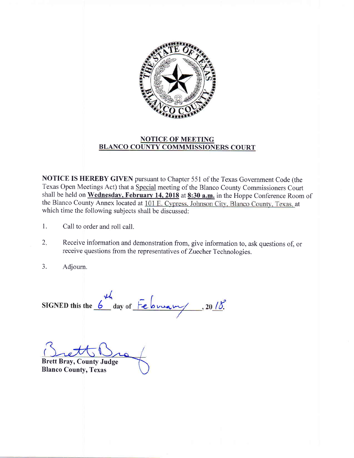

## NOTICE OF MEETING BLANCO COUNTY COMMMISSIONERS COURT

NOTICE IS HEREBY GIVEN pursuant to Chapter 551 of the Texas Government Code (the Texas Open Meetings Act) that a Special meeting of the Blanco County Commissioners Court shall be held on Wednesday, February 14, 2018 at  $8:30$  a.m. in the Hoppe Conference Room of the Blanco County Annex located at 101 E. Cypress, Johnson City, Blanco County, Texas, at which time the following subjects shall be discussed:

- 1. Call to order and roll call.
- Receive information and demonstration from, give information to, ask questions of, or receive questions from the representatives of Zuecher Technologies.  $2.$
- Adjourn. a J.

SIGNED this the  $\frac{44}{6}$  day of February, 2018.

Brett Bray, County Judge Blanco County, Texas